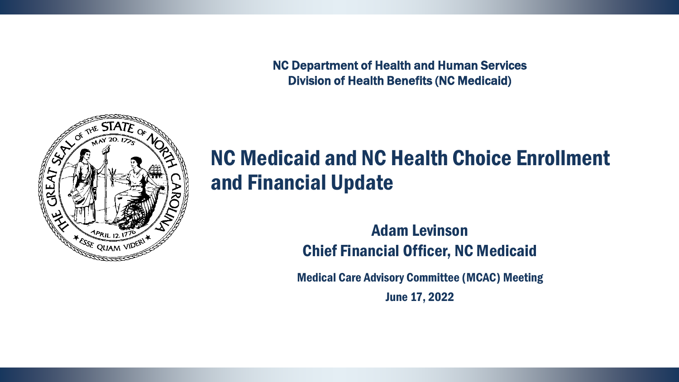NC Department of Health and Human Services Division of Health Benefits (NC Medicaid)



#### NC Medicaid and NC Health Choice Enrollment and Financial Update

Adam Levinson Chief Financial Officer, NC Medicaid

Medical Care Advisory Committee (MCAC) Meeting June 17, 2022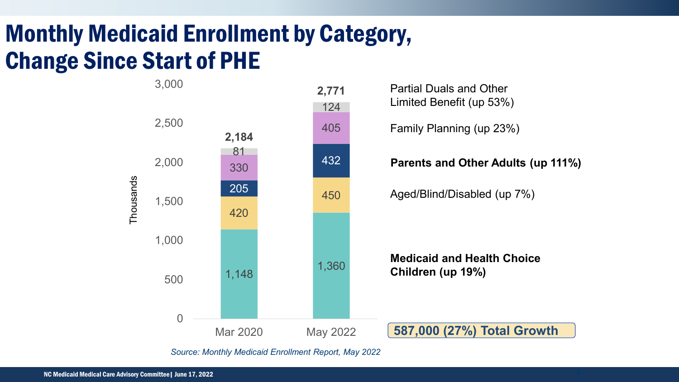# Monthly Medicaid Enrollment by Category, Change Since Start of PHE



*Source: Monthly Medicaid Enrollment Report, May 2022*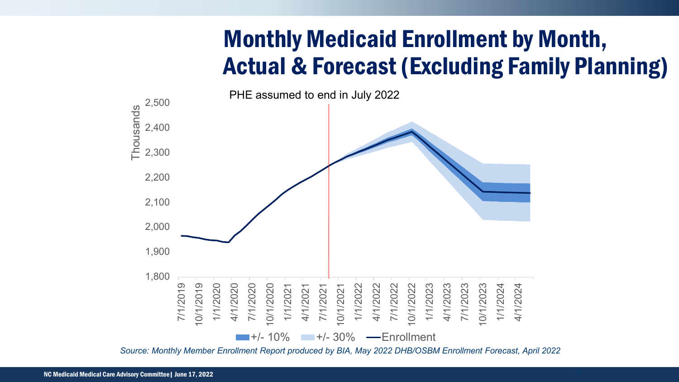## Monthly Medicaid Enrollment by Month, Actual & Forecast (Excluding Family Planning)



*Source: Monthly Member Enrollment Report produced by BIA, May 2022 DHB/OSBM Enrollment Forecast, April 2022*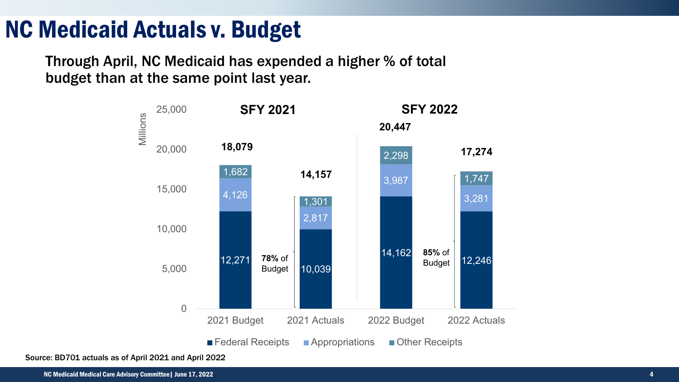### NC Medicaid Actuals v. Budget

Through April, NC Medicaid has expended a higher % of total budget than at the same point last year.



Source: BD701 actuals as of April 2021 and April 2022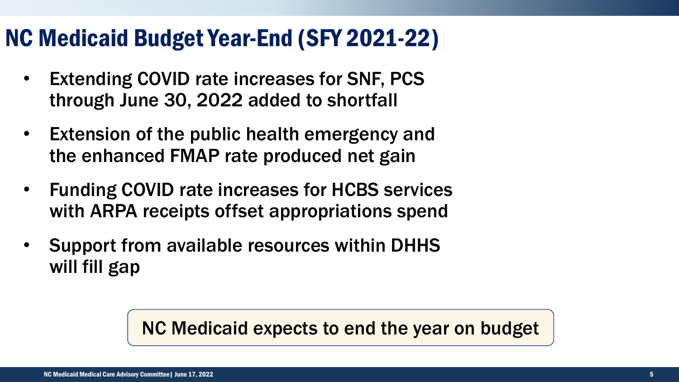### NC Medicaid Budget Year-End (SFY 2021-22)

- Extending COVID rate increases for SNF, PCS through June 30, 2022 added to shortfall
- Extension of the public health emergency and the enhanced FMAP rate produced net gain
- Funding COVID rate increases for HCBS services with ARPA receipts offset appropriations spend
- Support from available resources within DHHS will fill gap

NC Medicaid expects to end the year on budget